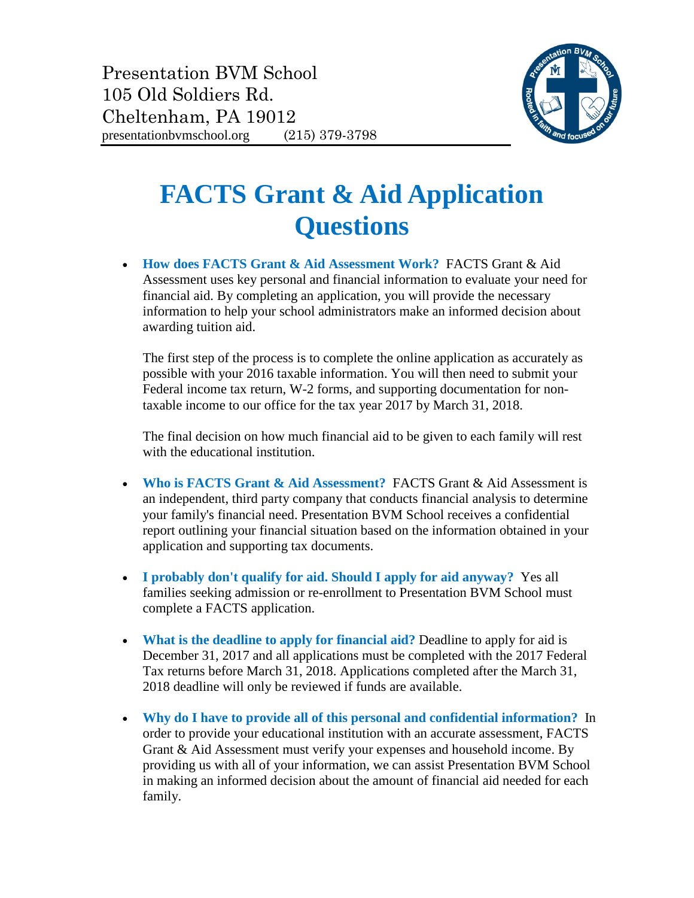

## **FACTS Grant & Aid Application Questions**

• **How does FACTS Grant & Aid Assessment Work?** FACTS Grant & Aid Assessment uses key personal and financial information to evaluate your need for financial aid. By completing an application, you will provide the necessary information to help your school administrators make an informed decision about awarding tuition aid.

The first step of the process is to complete the online application as accurately as possible with your 2016 taxable information. You will then need to submit your Federal income tax return, W-2 forms, and supporting documentation for nontaxable income to our office for the tax year 2017 by March 31, 2018.

The final decision on how much financial aid to be given to each family will rest with the educational institution.

- **Who is FACTS Grant & Aid Assessment?** FACTS Grant & Aid Assessment is an independent, third party company that conducts financial analysis to determine your family's financial need. Presentation BVM School receives a confidential report outlining your financial situation based on the information obtained in your application and supporting tax documents.
- **I probably don't qualify for aid. Should I apply for aid anyway?** Yes all families seeking admission or re-enrollment to Presentation BVM School must complete a FACTS application.
- **What is the deadline to apply for financial aid?** Deadline to apply for aid is December 31, 2017 and all applications must be completed with the 2017 Federal Tax returns before March 31, 2018. Applications completed after the March 31, 2018 deadline will only be reviewed if funds are available.
- **Why do I have to provide all of this personal and confidential information?** In order to provide your educational institution with an accurate assessment, FACTS Grant & Aid Assessment must verify your expenses and household income. By providing us with all of your information, we can assist Presentation BVM School in making an informed decision about the amount of financial aid needed for each family.